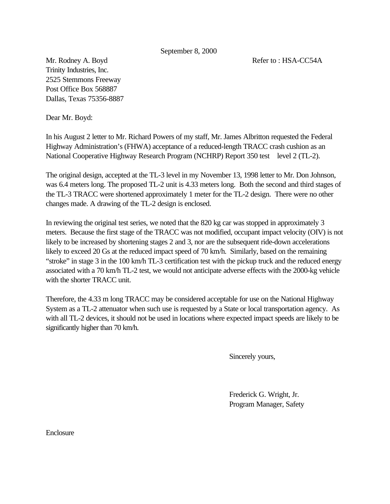September 8, 2000

Mr. Rodney A. Boyd **Refer to : HSA-CC54A** Trinity Industries, Inc. 2525 Stemmons Freeway Post Office Box 568887 Dallas, Texas 75356-8887

Dear Mr. Boyd:

In his August 2 letter to Mr. Richard Powers of my staff, Mr. James Albritton requested the Federal Highway Administration's (FHWA) acceptance of a reduced-length TRACC crash cushion as an National Cooperative Highway Research Program (NCHRP) Report 350 test level 2 (TL-2).

The original design, accepted at the TL-3 level in my November 13, 1998 letter to Mr. Don Johnson, was 6.4 meters long. The proposed TL-2 unit is 4.33 meters long. Both the second and third stages of the TL-3 TRACC were shortened approximately 1 meter for the TL-2 design. There were no other changes made. A drawing of the TL-2 design is enclosed.

In reviewing the original test series, we noted that the 820 kg car was stopped in approximately 3 meters. Because the first stage of the TRACC was not modified, occupant impact velocity (OIV) is not likely to be increased by shortening stages 2 and 3, nor are the subsequent ride-down accelerations likely to exceed 20 Gs at the reduced impact speed of 70 km/h. Similarly, based on the remaining "stroke" in stage 3 in the 100 km/h TL-3 certification test with the pickup truck and the reduced energy associated with a 70 km/h TL-2 test, we would not anticipate adverse effects with the 2000-kg vehicle with the shorter TRACC unit.

Therefore, the 4.33 m long TRACC may be considered acceptable for use on the National Highway System as a TL-2 attenuator when such use is requested by a State or local transportation agency. As with all TL-2 devices, it should not be used in locations where expected impact speeds are likely to be significantly higher than 70 km/h.

Sincerely yours,

Frederick G. Wright, Jr. Program Manager, Safety

Enclosure